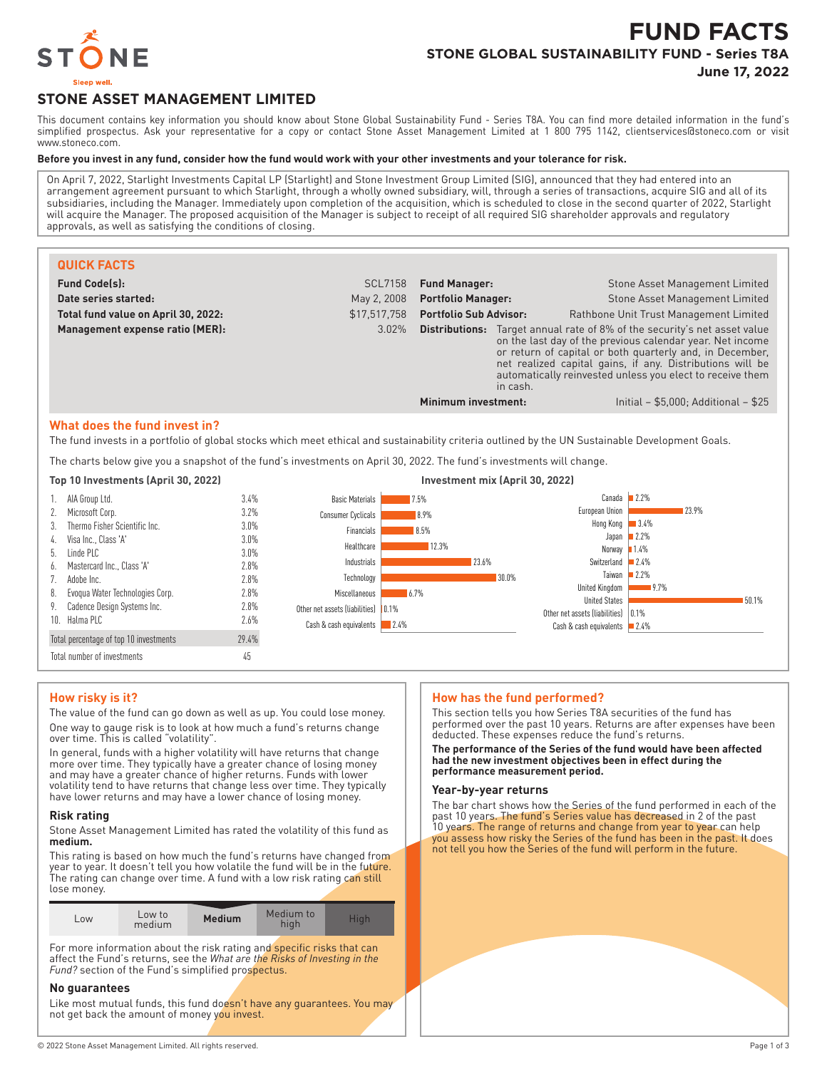

# **FUND FACTS STONE GLOBAL SUSTAINABILITY FUND - Series T8A**

**June 17, 2022**

# **STONE ASSET MANAGEMENT LIMITED**

This document contains key information you should know about Stone Global Sustainability Fund - Series T8A. You can find more detailed information in the fund's simplified prospectus. Ask your representative for a copy or contact Stone Asset Management Limited at 1 800 795 1142, clientservices@stoneco.com or visit www.stoneco.com.

#### **Before you invest in any fund, consider how the fund would work with your other investments and your tolerance for risk.**

On April 7, 2022, Starlight Investments Capital LP (Starlight) and Stone Investment Group Limited (SIG), announced that they had entered into an arrangement agreement pursuant to which Starlight, through a wholly owned subsidiary, will, through a series of transactions, acquire SIG and all of its subsidiaries, including the Manager. Immediately upon completion of the acquisition, which is scheduled to close in the second quarter of 2022, Starlight will acquire the Manager. The proposed acquisition of the Manager is subject to receipt of all required SIG shareholder approvals and regulatory approvals, as well as satisfying the conditions of closing.

| <b>QUICK FACTS</b>                  |                |                               |          |                                                                                                                                                                                                                                                                                                               |
|-------------------------------------|----------------|-------------------------------|----------|---------------------------------------------------------------------------------------------------------------------------------------------------------------------------------------------------------------------------------------------------------------------------------------------------------------|
| <b>Fund Code(s):</b>                | <b>SCL7158</b> | <b>Fund Manager:</b>          |          | Stone Asset Management Limited                                                                                                                                                                                                                                                                                |
| Date series started:                | May 2, 2008    | <b>Portfolio Manager:</b>     |          | Stone Asset Management Limited                                                                                                                                                                                                                                                                                |
| Total fund value on April 30, 2022: | \$17,517,758   | <b>Portfolio Sub Advisor:</b> |          | Rathbone Unit Trust Management Limited                                                                                                                                                                                                                                                                        |
| Management expense ratio (MER):     | 3.02%          | Distributions:                | in cash. | Target annual rate of 8% of the security's net asset value<br>on the last day of the previous calendar year. Net income<br>or return of capital or both quarterly and, in December,<br>net realized capital gains, if any. Distributions will be<br>automatically reinvested unless you elect to receive them |
|                                     |                | Minimum investment:           |          | Initial $-$ \$5,000; Additional $-$ \$25                                                                                                                                                                                                                                                                      |

#### **What does the fund invest in?**

The fund invests in a portfolio of global stocks which meet ethical and sustainability criteria outlined by the UN Sustainable Development Goals.

The charts below give you a snapshot of the fund's investments on April 30, 2022. The fund's investments will change.



# **How risky is it?**

The value of the fund can go down as well as up. You could lose money. One way to gauge risk is to look at how much a fund's returns change over time. This is called "volatility".

In general, funds with a higher volatility will have returns that change more over time. They typically have a greater chance of losing money and may have a greater chance of higher returns. Funds with lower volatility tend to have returns that change less over time. They typically have lower returns and may have a lower chance of losing money.

#### **Risk rating**

Stone Asset Management Limited has rated the volatility of this fund as **medium.**

This rating is based on how much the fund's returns have changed from year to year. It doesn't tell you how volatile the fund will be in the future. The rating can change over time. A fund with a low risk rating can still lose money.

| ∟0W | Low to<br>medium | <b>Medium</b> | Medium to<br>hiah | Hiah |
|-----|------------------|---------------|-------------------|------|
|-----|------------------|---------------|-------------------|------|

For more information about the risk rating and specific risks that can affect the Fund's returns, see the *What are the Risks of Investing in the Fund?* section of the Fund's simplified prospectus.

#### **No guarantees**

Like most mutual funds, this fund doesn't have any guarantees. You may not get back the amount of money you invest.

#### **How has the fund performed?**

This section tells you how Series T8A securities of the fund has performed over the past 10 years. Returns are after expenses have been deducted. These expenses reduce the fund's returns.

**The performance of the Series of the fund would have been affected had the new investment objectives been in effect during the performance measurement period.**

#### **Year-by-year returns**

The bar chart shows how the Series of the fund performed in each of the past 10 years. The fund's Series value has decreased in 2 of the past 10 years. The range of returns and change from year to year can help you assess how risky the Series of the fund has been in the past. It does not tell you how the Series of the fund will perform in the future.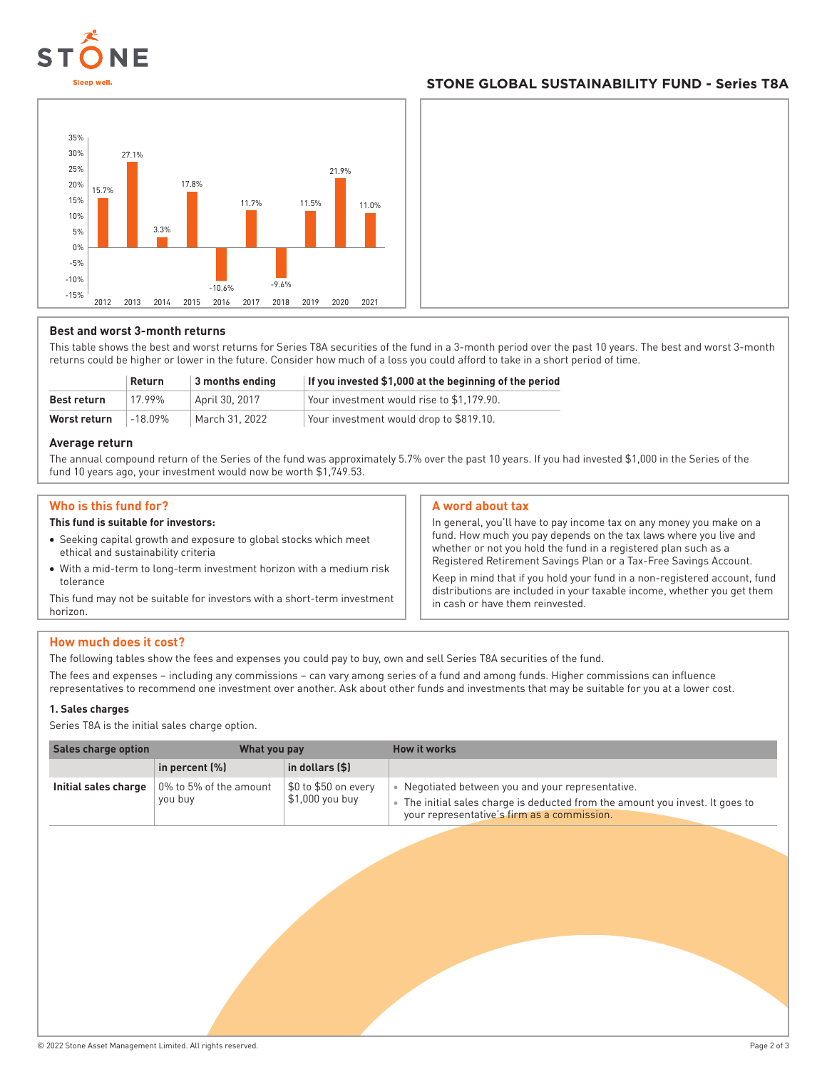

# **STONE GLOBAL SUSTAINABILITY FUND - Series T8A**



#### **Best and worst 3-month returns**

This table shows the best and worst returns for Series T8A securities of the fund in a 3-month period over the past 10 years. The best and worst 3-month returns could be higher or lower in the future. Consider how much of a loss you could afford to take in a short period of time.

|              | Return  | 3 months ending | If you invested \$1,000 at the beginning of the period |
|--------------|---------|-----------------|--------------------------------------------------------|
| Best return  | 17.99%  | April 30, 2017  | Your investment would rise to \$1.179.90.              |
| Worst return | –18 በ9% | March 31, 2022  | Your investment would drop to \$819.10.                |

#### **Average return**

The annual compound return of the Series of the fund was approximately 5.7% over the past 10 years. If you had invested \$1,000 in the Series of the fund 10 years ago, your investment would now be worth \$1,749.53.

#### **Who is this fund for?**

#### **This fund is suitable for investors:**

- Seeking capital growth and exposure to global stocks which meet ethical and sustainability criteria
- With a mid-term to long-term investment horizon with a medium risk tolerance

This fund may not be suitable for investors with a short-term investment horizon.

#### **A word about tax**

In general, you'll have to pay income tax on any money you make on a fund. How much you pay depends on the tax laws where you live and whether or not you hold the fund in a registered plan such as a Registered Retirement Savings Plan or a Tax-Free Savings Account.

Keep in mind that if you hold your fund in a non-registered account, fund distributions are included in your taxable income, whether you get them in cash or have them reinvested.

#### **How much does it cost?**

The following tables show the fees and expenses you could pay to buy, own and sell Series T8A securities of the fund.

The fees and expenses – including any commissions – can vary among series of a fund and among funds. Higher commissions can influence representatives to recommend one investment over another. Ask about other funds and investments that may be suitable for you at a lower cost.

#### **1. Sales charges**

Series T8A is the initial sales charge option.

| Sales charge option  | What you pay                           |                                         | How it works                                                                                                                                                                  |
|----------------------|----------------------------------------|-----------------------------------------|-------------------------------------------------------------------------------------------------------------------------------------------------------------------------------|
|                      | in percent (%)                         | in dollars (\$)                         |                                                                                                                                                                               |
| Initial sales charge | $\,$ 0% to 5% of the amount<br>you buy | \$0 to \$50 on every<br>\$1,000 you buy | Negotiated between you and your representative.<br>The initial sales charge is deducted from the amount you invest. It goes to<br>your representative's firm as a commission. |
|                      |                                        |                                         |                                                                                                                                                                               |